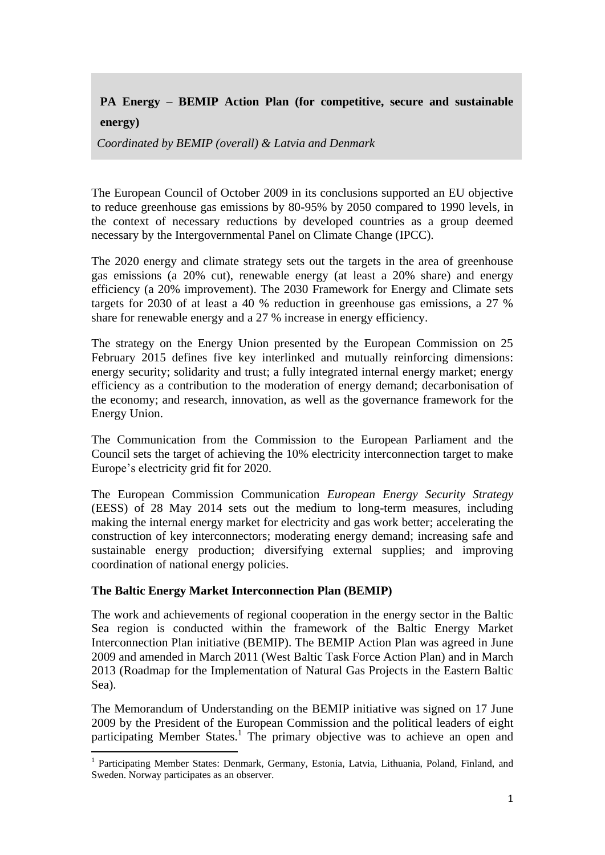# **PA Energy – BEMIP Action Plan (for competitive, secure and sustainable**

**energy)**

**.** 

*Coordinated by BEMIP (overall) & Latvia and Denmark*

The European Council of October 2009 in its conclusions supported an EU objective to reduce greenhouse gas emissions by 80-95% by 2050 compared to 1990 levels, in the context of necessary reductions by developed countries as a group deemed necessary by the Intergovernmental Panel on Climate Change (IPCC).

The 2020 energy and climate strategy sets out the targets in the area of greenhouse gas emissions (a 20% cut), renewable energy (at least a 20% share) and energy efficiency (a 20% improvement). The 2030 Framework for Energy and Climate sets targets for 2030 of at least a 40 % reduction in greenhouse gas emissions, a 27 % share for renewable energy and a 27 % increase in energy efficiency.

The strategy on the Energy Union presented by the European Commission on 25 February 2015 defines five key interlinked and mutually reinforcing dimensions: energy security; solidarity and trust; a fully integrated internal energy market; energy efficiency as a contribution to the moderation of energy demand; decarbonisation of the economy; and research, innovation, as well as the governance framework for the Energy Union.

The Communication from the Commission to the European Parliament and the Council sets the target of achieving the 10% electricity interconnection target to make Europe's electricity grid fit for 2020.

The European Commission Communication *European Energy Security Strategy* (EESS) of 28 May 2014 sets out the medium to long-term measures, including making the internal energy market for electricity and gas work better; accelerating the construction of key interconnectors; moderating energy demand; increasing safe and sustainable energy production; diversifying external supplies; and improving coordination of national energy policies.

## **The Baltic Energy Market Interconnection Plan (BEMIP)**

The work and achievements of regional cooperation in the energy sector in the Baltic Sea region is conducted within the framework of the Baltic Energy Market Interconnection Plan initiative (BEMIP). The BEMIP Action Plan was agreed in June 2009 and amended in March 2011 (West Baltic Task Force Action Plan) and in March 2013 (Roadmap for the Implementation of Natural Gas Projects in the Eastern Baltic Sea).

The Memorandum of Understanding on the BEMIP initiative was signed on 17 June 2009 by the President of the European Commission and the political leaders of eight participating Member States.<sup>1</sup> The primary objective was to achieve an open and

<sup>&</sup>lt;sup>1</sup> Participating Member States: Denmark, Germany, Estonia, Latvia, Lithuania, Poland, Finland, and Sweden. Norway participates as an observer.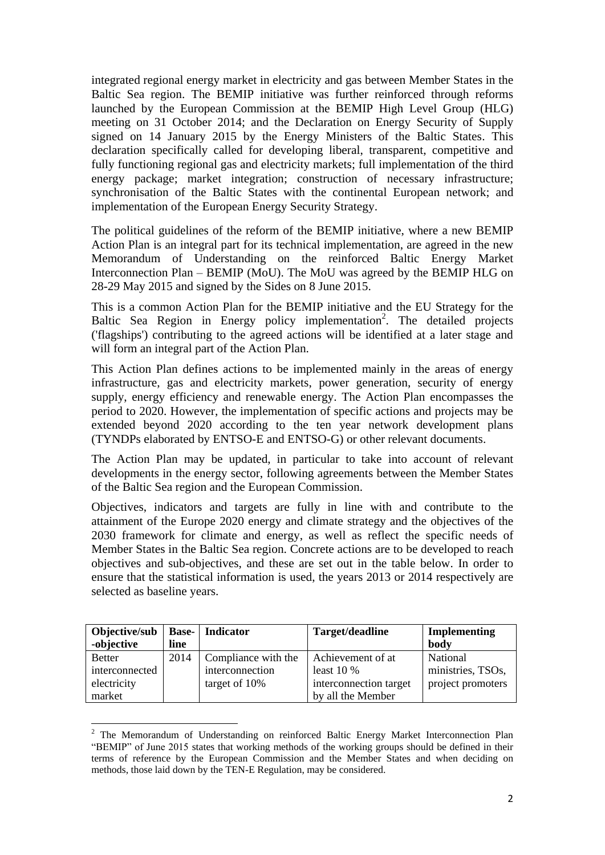integrated regional energy market in electricity and gas between Member States in the Baltic Sea region. The BEMIP initiative was further reinforced through reforms launched by the European Commission at the BEMIP High Level Group (HLG) meeting on 31 October 2014; and the Declaration on Energy Security of Supply signed on 14 January 2015 by the Energy Ministers of the Baltic States. This declaration specifically called for developing liberal, transparent, competitive and fully functioning regional gas and electricity markets; full implementation of the third energy package; market integration; construction of necessary infrastructure; synchronisation of the Baltic States with the continental European network; and implementation of the European Energy Security Strategy.

The political guidelines of the reform of the BEMIP initiative, where a new BEMIP Action Plan is an integral part for its technical implementation, are agreed in the new Memorandum of Understanding on the reinforced Baltic Energy Market Interconnection Plan – BEMIP (MoU). The MoU was agreed by the BEMIP HLG on 28-29 May 2015 and signed by the Sides on 8 June 2015.

This is a common Action Plan for the BEMIP initiative and the EU Strategy for the Baltic Sea Region in Energy policy implementation<sup>2</sup>. The detailed projects ('flagships') contributing to the agreed actions will be identified at a later stage and will form an integral part of the Action Plan.

This Action Plan defines actions to be implemented mainly in the areas of energy infrastructure, gas and electricity markets, power generation, security of energy supply, energy efficiency and renewable energy. The Action Plan encompasses the period to 2020. However, the implementation of specific actions and projects may be extended beyond 2020 according to the ten year network development plans (TYNDPs elaborated by ENTSO-E and ENTSO-G) or other relevant documents.

The Action Plan may be updated, in particular to take into account of relevant developments in the energy sector, following agreements between the Member States of the Baltic Sea region and the European Commission.

Objectives, indicators and targets are fully in line with and contribute to the attainment of the Europe 2020 energy and climate strategy and the objectives of the 2030 framework for climate and energy, as well as reflect the specific needs of Member States in the Baltic Sea region. Concrete actions are to be developed to reach objectives and sub-objectives, and these are set out in the table below. In order to ensure that the statistical information is used, the years 2013 or 2014 respectively are selected as baseline years.

| Objective/sub<br>-objective | line | <b>Base-</b> Indicator | Target/deadline        | Implementing<br>body |
|-----------------------------|------|------------------------|------------------------|----------------------|
| <b>Better</b>               | 2014 | Compliance with the    | Achievement of at      | National             |
| interconnected              |      | interconnection        | least $10\%$           | ministries, TSOs,    |
| electricity                 |      | target of 10%          | interconnection target | project promoters    |
| market                      |      |                        | by all the Member      |                      |

<sup>&</sup>lt;sup>2</sup> The Memorandum of Understanding on reinforced Baltic Energy Market Interconnection Plan "BEMIP" of June 2015 states that working methods of the working groups should be defined in their terms of reference by the European Commission and the Member States and when deciding on methods, those laid down by the TEN-E Regulation, may be considered.

**.**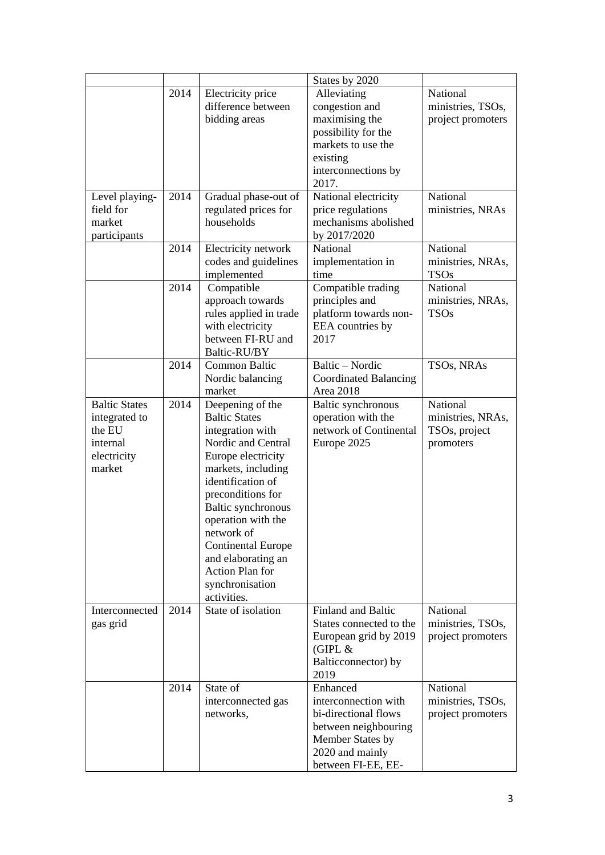|                                                                                      |      |                                                                                                                                                                                                                                                                                                                                                   | States by 2020                                                                                                                                |                                                             |
|--------------------------------------------------------------------------------------|------|---------------------------------------------------------------------------------------------------------------------------------------------------------------------------------------------------------------------------------------------------------------------------------------------------------------------------------------------------|-----------------------------------------------------------------------------------------------------------------------------------------------|-------------------------------------------------------------|
|                                                                                      | 2014 | Electricity price<br>difference between<br>bidding areas                                                                                                                                                                                                                                                                                          | Alleviating<br>congestion and<br>maximising the<br>possibility for the<br>markets to use the<br>existing<br>interconnections by<br>2017.      | National<br>ministries, TSOs,<br>project promoters          |
| Level playing-<br>field for<br>market<br>participants                                | 2014 | Gradual phase-out of<br>regulated prices for<br>households                                                                                                                                                                                                                                                                                        | National electricity<br>price regulations<br>mechanisms abolished<br>by 2017/2020                                                             | National<br>ministries, NRAs                                |
|                                                                                      | 2014 | Electricity network<br>codes and guidelines<br>implemented                                                                                                                                                                                                                                                                                        | National<br>implementation in<br>time                                                                                                         | National<br>ministries, NRAs,<br><b>TSOs</b>                |
|                                                                                      | 2014 | Compatible<br>approach towards<br>rules applied in trade<br>with electricity<br>between FI-RU and<br>Baltic-RU/BY                                                                                                                                                                                                                                 | Compatible trading<br>principles and<br>platform towards non-<br>EEA countries by<br>2017                                                     | National<br>ministries, NRAs,<br><b>TSOs</b>                |
|                                                                                      | 2014 | Common Baltic<br>Nordic balancing<br>market                                                                                                                                                                                                                                                                                                       | Baltic - Nordic<br><b>Coordinated Balancing</b><br>Area 2018                                                                                  | TSO <sub>s</sub> , NRA <sub>s</sub>                         |
| <b>Baltic States</b><br>integrated to<br>the EU<br>internal<br>electricity<br>market | 2014 | Deepening of the<br><b>Baltic States</b><br>integration with<br>Nordic and Central<br>Europe electricity<br>markets, including<br>identification of<br>preconditions for<br>Baltic synchronous<br>operation with the<br>network of<br><b>Continental Europe</b><br>and elaborating an<br><b>Action Plan for</b><br>synchronisation<br>activities. | Baltic synchronous<br>operation with the<br>network of Continental<br>Europe 2025                                                             | National<br>ministries, NRAs,<br>TSOs, project<br>promoters |
| Interconnected<br>gas grid                                                           | 2014 | State of isolation                                                                                                                                                                                                                                                                                                                                | <b>Finland and Baltic</b><br>States connected to the<br>European grid by 2019<br>(GIPL $&$<br>Balticconnector) by<br>2019                     | National<br>ministries, TSOs,<br>project promoters          |
|                                                                                      | 2014 | State of<br>interconnected gas<br>networks,                                                                                                                                                                                                                                                                                                       | Enhanced<br>interconnection with<br>bi-directional flows<br>between neighbouring<br>Member States by<br>2020 and mainly<br>between FI-EE, EE- | National<br>ministries, TSOs,<br>project promoters          |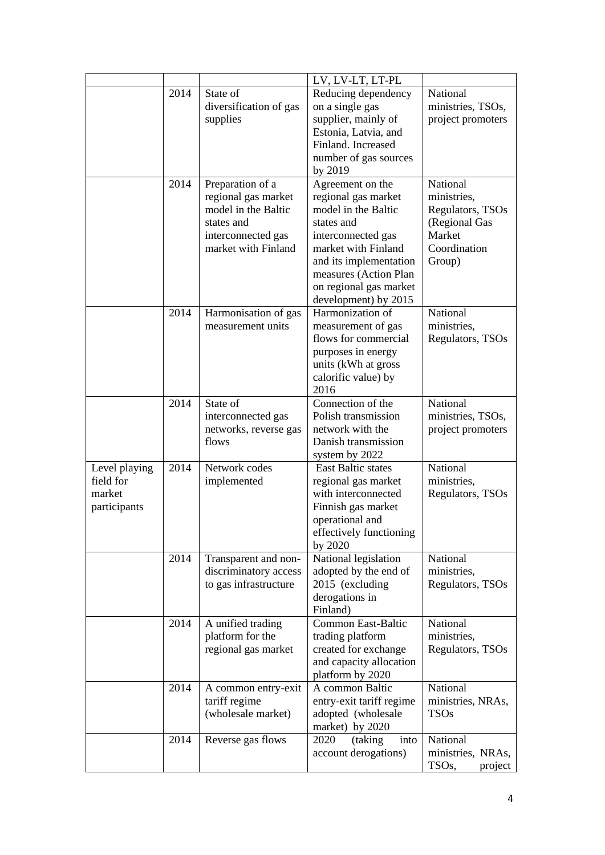|               |      |                                | LV, LV-LT, LT-PL                         |                               |
|---------------|------|--------------------------------|------------------------------------------|-------------------------------|
|               | 2014 | State of                       | Reducing dependency                      | National                      |
|               |      | diversification of gas         | on a single gas                          | ministries, TSOs,             |
|               |      | supplies                       | supplier, mainly of                      | project promoters             |
|               |      |                                | Estonia, Latvia, and                     |                               |
|               |      |                                | Finland. Increased                       |                               |
|               |      |                                | number of gas sources                    |                               |
|               |      |                                | by 2019                                  |                               |
|               | 2014 | Preparation of a               | Agreement on the                         | National                      |
|               |      | regional gas market            | regional gas market                      | ministries,                   |
|               |      | model in the Baltic            | model in the Baltic                      | Regulators, TSOs              |
|               |      | states and                     | states and                               | (Regional Gas                 |
|               |      | interconnected gas             | interconnected gas                       | Market                        |
|               |      | market with Finland            | market with Finland                      | Coordination                  |
|               |      |                                | and its implementation                   | Group)                        |
|               |      |                                | measures (Action Plan                    |                               |
|               |      |                                | on regional gas market                   |                               |
|               |      |                                | development) by 2015                     |                               |
|               | 2014 | Harmonisation of gas           | Harmonization of                         | National                      |
|               |      | measurement units              | measurement of gas                       | ministries,                   |
|               |      |                                | flows for commercial                     | Regulators, TSOs              |
|               |      |                                | purposes in energy                       |                               |
|               |      |                                | units (kWh at gross                      |                               |
|               |      |                                | calorific value) by                      |                               |
|               |      |                                | 2016                                     |                               |
|               | 2014 | State of                       | Connection of the<br>Polish transmission | National                      |
|               |      | interconnected gas             | network with the                         | ministries, TSOs,             |
|               |      | networks, reverse gas<br>flows | Danish transmission                      | project promoters             |
|               |      |                                | system by 2022                           |                               |
| Level playing | 2014 | Network codes                  | <b>East Baltic states</b>                | National                      |
| field for     |      | implemented                    | regional gas market                      | ministries,                   |
| market        |      |                                | with interconnected                      | Regulators, TSOs              |
| participants  |      |                                | Finnish gas market                       |                               |
|               |      |                                | operational and                          |                               |
|               |      |                                | effectively functioning                  |                               |
|               |      |                                | by 2020                                  |                               |
|               | 2014 | Transparent and non-           | National legislation                     | National                      |
|               |      | discriminatory access          | adopted by the end of                    | ministries,                   |
|               |      | to gas infrastructure          | 2015 (excluding                          | Regulators, TSOs              |
|               |      |                                | derogations in                           |                               |
|               |      |                                | Finland)                                 |                               |
|               | 2014 | A unified trading              | <b>Common East-Baltic</b>                | National                      |
|               |      | platform for the               | trading platform                         | ministries,                   |
|               |      | regional gas market            | created for exchange                     | Regulators, TSOs              |
|               |      |                                | and capacity allocation                  |                               |
|               |      |                                | platform by 2020                         |                               |
|               | 2014 | A common entry-exit            | A common Baltic                          | National                      |
|               |      | tariff regime                  | entry-exit tariff regime                 | ministries, NRAs,             |
|               |      | (wholesale market)             | adopted (wholesale                       | <b>TSOs</b>                   |
|               |      |                                | market) by 2020                          |                               |
|               | 2014 | Reverse gas flows              | 2020<br>(taking)<br>into                 | National                      |
|               |      |                                | account derogations)                     | ministries, NRAs,             |
|               |      |                                |                                          | TSO <sub>s</sub> ,<br>project |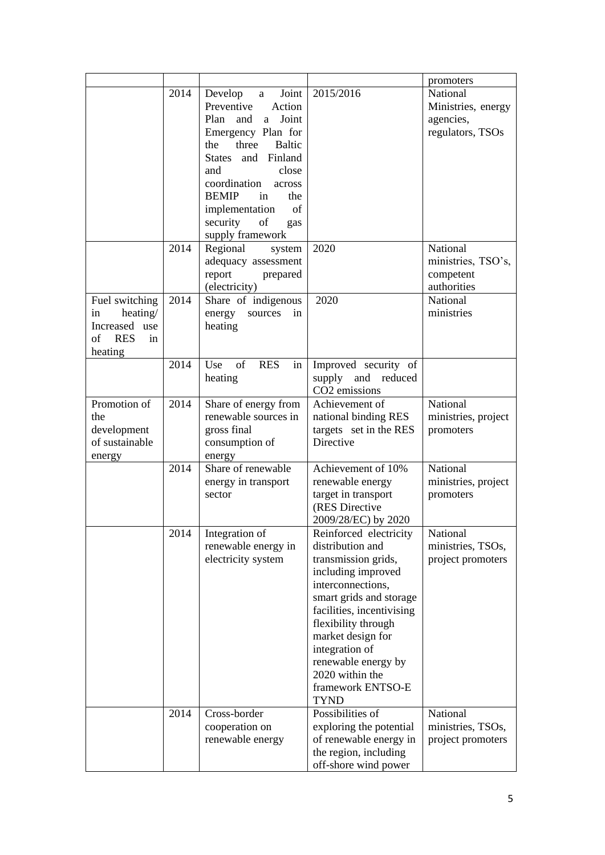|                        |      |                           |                           | promoters           |
|------------------------|------|---------------------------|---------------------------|---------------------|
|                        | 2014 | Joint  <br>Develop a      | 2015/2016                 | National            |
|                        |      | Preventive<br>Action      |                           | Ministries, energy  |
|                        |      | Plan and<br>Joint<br>a.   |                           | agencies,           |
|                        |      | Emergency Plan for        |                           | regulators, TSOs    |
|                        |      | three Baltic<br>the       |                           |                     |
|                        |      | States and Finland        |                           |                     |
|                        |      | close<br>and              |                           |                     |
|                        |      | coordination              |                           |                     |
|                        |      | across                    |                           |                     |
|                        |      | <b>BEMIP</b><br>the<br>in |                           |                     |
|                        |      | implementation<br>of      |                           |                     |
|                        |      | of<br>security<br>gas     |                           |                     |
|                        |      | supply framework          |                           |                     |
|                        | 2014 | Regional<br>system        | 2020                      | National            |
|                        |      | adequacy assessment       |                           | ministries, TSO's,  |
|                        |      | report<br>prepared        |                           | competent           |
|                        |      | (electricity)             |                           | authorities         |
| Fuel switching         | 2014 | Share of indigenous       | 2020                      | National            |
| heating/<br>in         |      | energy<br>sources<br>in   |                           | ministries          |
| Increased use          |      | heating                   |                           |                     |
| of<br><b>RES</b><br>in |      |                           |                           |                     |
|                        |      |                           |                           |                     |
| heating                | 2014 | of<br><b>RES</b>          |                           |                     |
|                        |      | in<br>Use                 | Improved security of      |                     |
|                        |      | heating                   | supply and reduced        |                     |
|                        |      |                           | CO <sub>2</sub> emissions |                     |
| Promotion of           | 2014 | Share of energy from      | Achievement of            | National            |
| the                    |      | renewable sources in      | national binding RES      | ministries, project |
| development            |      | gross final               | targets set in the RES    | promoters           |
| of sustainable         |      | consumption of            | Directive                 |                     |
| energy                 |      | energy                    |                           |                     |
|                        | 2014 | Share of renewable        | Achievement of 10%        | National            |
|                        |      | energy in transport       | renewable energy          | ministries, project |
|                        |      | sector                    | target in transport       | promoters           |
|                        |      |                           | (RES Directive            |                     |
|                        |      |                           | 2009/28/EC) by 2020       |                     |
|                        | 2014 | Integration of            | Reinforced electricity    | National            |
|                        |      |                           |                           |                     |
|                        |      | renewable energy in       | distribution and          | ministries, TSOs,   |
|                        |      | electricity system        | transmission grids,       | project promoters   |
|                        |      |                           | including improved        |                     |
|                        |      |                           | interconnections,         |                     |
|                        |      |                           | smart grids and storage   |                     |
|                        |      |                           | facilities, incentivising |                     |
|                        |      |                           | flexibility through       |                     |
|                        |      |                           | market design for         |                     |
|                        |      |                           | integration of            |                     |
|                        |      |                           | renewable energy by       |                     |
|                        |      |                           | 2020 within the           |                     |
|                        |      |                           | framework ENTSO-E         |                     |
|                        |      |                           | <b>TYND</b>               |                     |
|                        | 2014 | Cross-border              | Possibilities of          | National            |
|                        |      |                           |                           |                     |
|                        |      | cooperation on            | exploring the potential   | ministries, TSOs,   |
|                        |      | renewable energy          | of renewable energy in    | project promoters   |
|                        |      |                           | the region, including     |                     |
|                        |      |                           | off-shore wind power      |                     |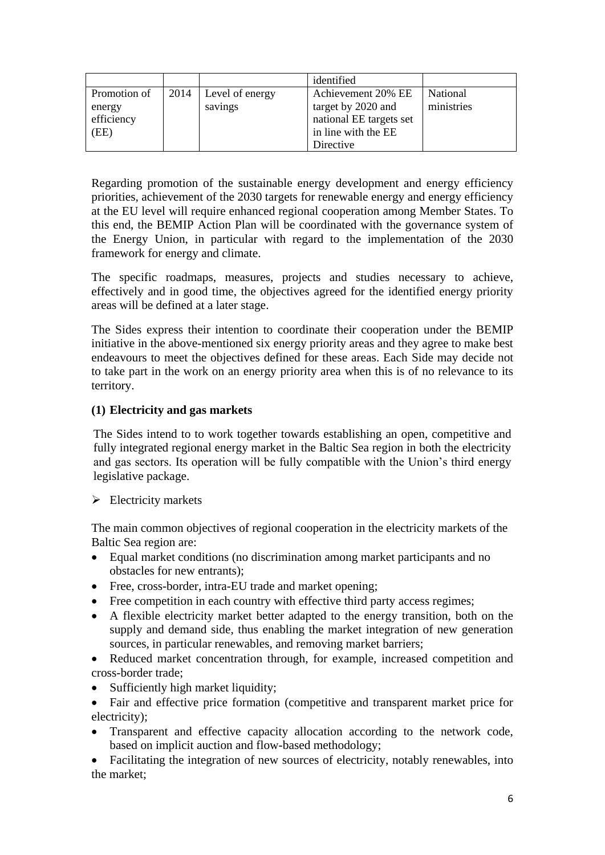|              |      |                 | identified              |            |
|--------------|------|-----------------|-------------------------|------------|
| Promotion of | 2014 | Level of energy | Achievement 20% EE      | National   |
| energy       |      | savings         | target by 2020 and      | ministries |
| efficiency   |      |                 | national EE targets set |            |
| (EE)         |      |                 | in line with the EE     |            |
|              |      |                 | Directive               |            |

Regarding promotion of the sustainable energy development and energy efficiency priorities, achievement of the 2030 targets for renewable energy and energy efficiency at the EU level will require enhanced regional cooperation among Member States. To this end, the BEMIP Action Plan will be coordinated with the governance system of the Energy Union, in particular with regard to the implementation of the 2030 framework for energy and climate.

The specific roadmaps, measures, projects and studies necessary to achieve, effectively and in good time, the objectives agreed for the identified energy priority areas will be defined at a later stage.

The Sides express their intention to coordinate their cooperation under the BEMIP initiative in the above-mentioned six energy priority areas and they agree to make best endeavours to meet the objectives defined for these areas. Each Side may decide not to take part in the work on an energy priority area when this is of no relevance to its territory.

## **(1) Electricity and gas markets**

The Sides intend to to work together towards establishing an open, competitive and fully integrated regional energy market in the Baltic Sea region in both the electricity and gas sectors. Its operation will be fully compatible with the Union's third energy legislative package.

## $\triangleright$  Electricity markets

The main common objectives of regional cooperation in the electricity markets of the Baltic Sea region are:

- Equal market conditions (no discrimination among market participants and no obstacles for new entrants);
- Free, cross-border, intra-EU trade and market opening;
- Free competition in each country with effective third party access regimes;
- A flexible electricity market better adapted to the energy transition, both on the supply and demand side, thus enabling the market integration of new generation sources, in particular renewables, and removing market barriers;
- Reduced market concentration through, for example, increased competition and cross-border trade;
- Sufficiently high market liquidity;
- Fair and effective price formation (competitive and transparent market price for electricity);
- Transparent and effective capacity allocation according to the network code, based on implicit auction and flow-based methodology;

• Facilitating the integration of new sources of electricity, notably renewables, into the market;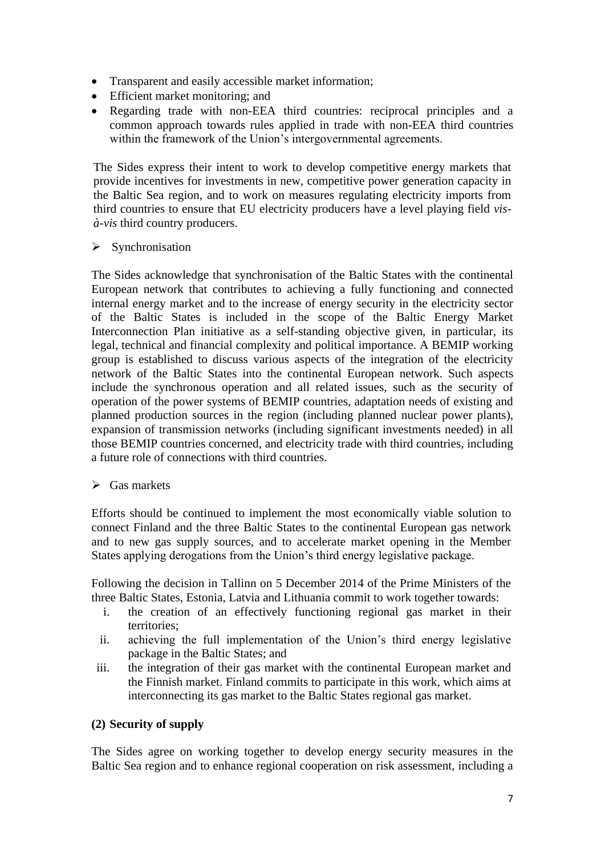- Transparent and easily accessible market information;
- Efficient market monitoring; and
- Regarding trade with non-EEA third countries: reciprocal principles and a common approach towards rules applied in trade with non-EEA third countries within the framework of the Union's intergovernmental agreements.

The Sides express their intent to work to develop competitive energy markets that provide incentives for investments in new, competitive power generation capacity in the Baltic Sea region, and to work on measures regulating electricity imports from third countries to ensure that EU electricity producers have a level playing field *visà-vis* third country producers.

 $\triangleright$  Synchronisation

The Sides acknowledge that synchronisation of the Baltic States with the continental European network that contributes to achieving a fully functioning and connected internal energy market and to the increase of energy security in the electricity sector of the Baltic States is included in the scope of the Baltic Energy Market Interconnection Plan initiative as a self-standing objective given, in particular, its legal, technical and financial complexity and political importance. A BEMIP working group is established to discuss various aspects of the integration of the electricity network of the Baltic States into the continental European network. Such aspects include the synchronous operation and all related issues, such as the security of operation of the power systems of BEMIP countries, adaptation needs of existing and planned production sources in the region (including planned nuclear power plants), expansion of transmission networks (including significant investments needed) in all those BEMIP countries concerned, and electricity trade with third countries, including a future role of connections with third countries.

## $\triangleright$  Gas markets

Efforts should be continued to implement the most economically viable solution to connect Finland and the three Baltic States to the continental European gas network and to new gas supply sources, and to accelerate market opening in the Member States applying derogations from the Union's third energy legislative package.

Following the decision in Tallinn on 5 December 2014 of the Prime Ministers of the three Baltic States, Estonia, Latvia and Lithuania commit to work together towards:

- i. the creation of an effectively functioning regional gas market in their territories;
- ii. achieving the full implementation of the Union's third energy legislative package in the Baltic States; and
- iii. the integration of their gas market with the continental European market and the Finnish market. Finland commits to participate in this work, which aims at interconnecting its gas market to the Baltic States regional gas market.

## **(2) Security of supply**

The Sides agree on working together to develop energy security measures in the Baltic Sea region and to enhance regional cooperation on risk assessment, including a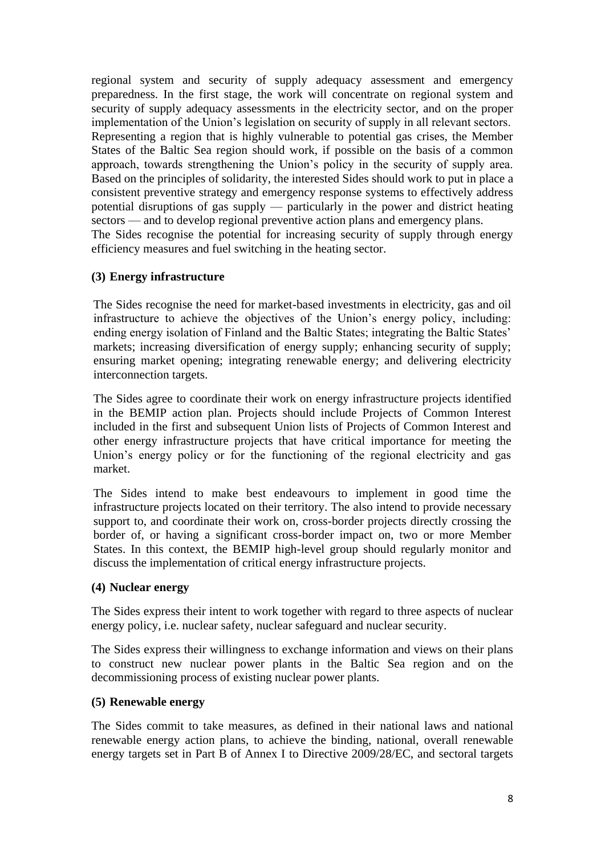regional system and security of supply adequacy assessment and emergency preparedness. In the first stage, the work will concentrate on regional system and security of supply adequacy assessments in the electricity sector, and on the proper implementation of the Union's legislation on security of supply in all relevant sectors. Representing a region that is highly vulnerable to potential gas crises, the Member States of the Baltic Sea region should work, if possible on the basis of a common approach, towards strengthening the Union's policy in the security of supply area. Based on the principles of solidarity, the interested Sides should work to put in place a consistent preventive strategy and emergency response systems to effectively address potential disruptions of gas supply — particularly in the power and district heating sectors — and to develop regional preventive action plans and emergency plans. The Sides recognise the potential for increasing security of supply through energy efficiency measures and fuel switching in the heating sector.

#### **(3) Energy infrastructure**

The Sides recognise the need for market-based investments in electricity, gas and oil infrastructure to achieve the objectives of the Union's energy policy, including: ending energy isolation of Finland and the Baltic States; integrating the Baltic States' markets; increasing diversification of energy supply; enhancing security of supply; ensuring market opening; integrating renewable energy; and delivering electricity interconnection targets.

The Sides agree to coordinate their work on energy infrastructure projects identified in the BEMIP action plan. Projects should include Projects of Common Interest included in the first and subsequent Union lists of Projects of Common Interest and other energy infrastructure projects that have critical importance for meeting the Union's energy policy or for the functioning of the regional electricity and gas market.

The Sides intend to make best endeavours to implement in good time the infrastructure projects located on their territory. The also intend to provide necessary support to, and coordinate their work on, cross-border projects directly crossing the border of, or having a significant cross-border impact on, two or more Member States. In this context, the BEMIP high-level group should regularly monitor and discuss the implementation of critical energy infrastructure projects.

#### **(4) Nuclear energy**

The Sides express their intent to work together with regard to three aspects of nuclear energy policy, i.e. nuclear safety, nuclear safeguard and nuclear security.

The Sides express their willingness to exchange information and views on their plans to construct new nuclear power plants in the Baltic Sea region and on the decommissioning process of existing nuclear power plants.

#### **(5) Renewable energy**

The Sides commit to take measures, as defined in their national laws and national renewable energy action plans, to achieve the binding, national, overall renewable energy targets set in Part B of Annex I to Directive 2009/28/EC, and sectoral targets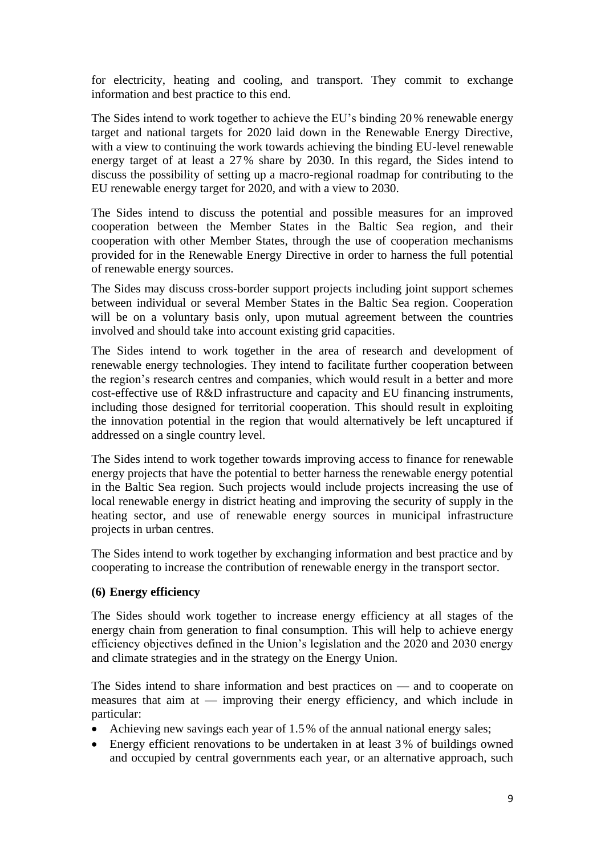for electricity, heating and cooling, and transport. They commit to exchange information and best practice to this end.

The Sides intend to work together to achieve the EU's binding 20 % renewable energy target and national targets for 2020 laid down in the Renewable Energy Directive, with a view to continuing the work towards achieving the binding EU-level renewable energy target of at least a 27% share by 2030. In this regard, the Sides intend to discuss the possibility of setting up a macro-regional roadmap for contributing to the EU renewable energy target for 2020, and with a view to 2030.

The Sides intend to discuss the potential and possible measures for an improved cooperation between the Member States in the Baltic Sea region, and their cooperation with other Member States, through the use of cooperation mechanisms provided for in the Renewable Energy Directive in order to harness the full potential of renewable energy sources.

The Sides may discuss cross-border support projects including joint support schemes between individual or several Member States in the Baltic Sea region. Cooperation will be on a voluntary basis only, upon mutual agreement between the countries involved and should take into account existing grid capacities.

The Sides intend to work together in the area of research and development of renewable energy technologies. They intend to facilitate further cooperation between the region's research centres and companies, which would result in a better and more cost-effective use of R&D infrastructure and capacity and EU financing instruments, including those designed for territorial cooperation. This should result in exploiting the innovation potential in the region that would alternatively be left uncaptured if addressed on a single country level.

The Sides intend to work together towards improving access to finance for renewable energy projects that have the potential to better harness the renewable energy potential in the Baltic Sea region. Such projects would include projects increasing the use of local renewable energy in district heating and improving the security of supply in the heating sector, and use of renewable energy sources in municipal infrastructure projects in urban centres.

The Sides intend to work together by exchanging information and best practice and by cooperating to increase the contribution of renewable energy in the transport sector.

## **(6) Energy efficiency**

The Sides should work together to increase energy efficiency at all stages of the energy chain from generation to final consumption. This will help to achieve energy efficiency objectives defined in the Union's legislation and the 2020 and 2030 energy and climate strategies and in the strategy on the Energy Union.

The Sides intend to share information and best practices on — and to cooperate on measures that aim at — improving their energy efficiency, and which include in particular:

- Achieving new savings each year of 1.5% of the annual national energy sales;
- Energy efficient renovations to be undertaken in at least 3 % of buildings owned and occupied by central governments each year, or an alternative approach, such